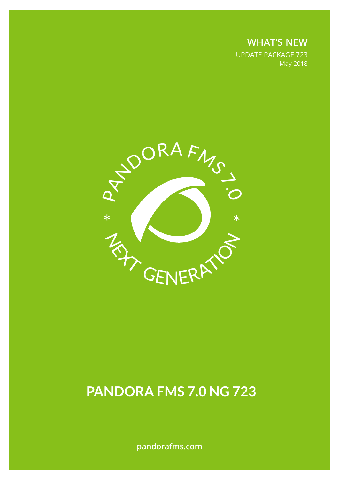**WHAT'S NEW** UPDATE PACKAGE 723 May 2018



# **PANDORA FMS 7.0 NG 723**

**pandorafms.com**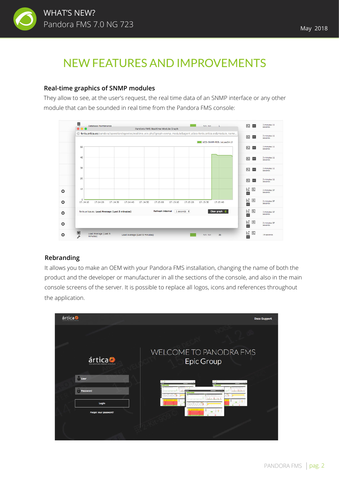

## NEW FEATURES AND IMPROVEMENTS

#### **Real-time graphics of SNMP modules**

They allow to see, at the user's request, the real time data of an SNMP interface or any other module that can be sounded in real time from the Pandora FMS console:



#### **Rebranding**

It allows you to make an OEM with your Pandora FMS installation, changing the name of both the product and the developer or manufacturer in all the sections of the console, and also in the main console screens of the server. It is possible to replace all logos, icons and references throughout the application.

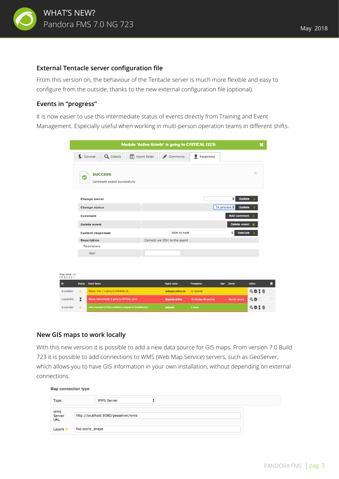

#### **External Tentacle server configuration file**

From this version on, the behaviour of the Tentacle server is much more flexible and easy to configure from the outside, thanks to the new external configuration file (optional).

#### **Events in "progress"**

It is now easier to use this intermediate status of events directly from Training and Event Management. Especially useful when working in multi-person operation teams in different shifts.

|                              |                         |                         |                                                               |  |                                     | Module 'Active tickets' is going to CRITICAL (323) |            |                       |                      | ×                     |        |
|------------------------------|-------------------------|-------------------------|---------------------------------------------------------------|--|-------------------------------------|----------------------------------------------------|------------|-----------------------|----------------------|-----------------------|--------|
|                              |                         | General                 | Q Details                                                     |  | $\boxed{\overline{a}}$ Agent fields | Comments                                           |            | <b>P</b> Responses    |                      |                       |        |
|                              | c                       | <b>SUCCESS</b>          | Comment added successfully.                                   |  |                                     |                                                    |            |                       |                      | $\boldsymbol{\times}$ |        |
|                              |                         | <b>Change owner</b>     |                                                               |  |                                     |                                                    |            |                       | ٠                    | <b>Update</b>         |        |
|                              | <b>Change status</b>    |                         |                                                               |  |                                     |                                                    |            |                       | In process $\div$    | <b>Update</b>         |        |
|                              |                         | <b>Comment</b>          |                                                               |  |                                     |                                                    |            |                       | <b>Add comment</b>   |                       |        |
|                              |                         | <b>Delete</b> event     |                                                               |  |                                     |                                                    |            |                       | Delete event         |                       |        |
|                              |                         | <b>Custom responses</b> |                                                               |  |                                     | <b>SSH</b> to host                                 |            |                       | ٠                    | <b>Execute</b>        |        |
|                              |                         | <b>Description</b>      |                                                               |  |                                     | Connect via SSH to the agent                       |            |                       |                      |                       |        |
|                              |                         | Parameters              |                                                               |  |                                     |                                                    |            |                       |                      |                       |        |
|                              |                         | <b>User</b>             |                                                               |  |                                     |                                                    |            |                       |                      |                       |        |
|                              |                         |                         |                                                               |  |                                     |                                                    |            |                       |                      |                       |        |
|                              |                         |                         |                                                               |  |                                     |                                                    |            |                       |                      |                       |        |
| Total items: 41<br>[0][1][2] |                         |                         |                                                               |  |                                     |                                                    |            |                       |                      |                       |        |
| ID                           | <b>Status</b>           | <b>Event Name</b>       |                                                               |  |                                     | <b>Agent name</b>                                  | Timestamp  |                       | <b>User</b><br>Owner | <b>Action</b>         | О      |
| #16468007                    | $\star$                 |                         | Module 'Disk_/' is going to WARNING (8)                       |  |                                     | octopus.artica.es                                  | 22 seconds |                       |                      | QOIT                  | $\Box$ |
| #16467970                    | $\overline{\mathbf{x}}$ |                         | Module 'Active tickets' is going to CRITICAL (323)            |  |                                     | <b>Soporte Artica</b>                              |            | 33 minutes 48 seconds | Sancho Lerena        | $Q \odot$             | $\Box$ |
| #16467827                    | $\star$                 |                         | Alert recovered (Critical condition) assigned to (FreeMemory) |  |                                     | atlantis                                           | 2 hours    |                       |                      | QOIM                  | $\Box$ |
|                              |                         |                         |                                                               |  |                                     |                                                    |            |                       |                      |                       |        |

#### **New GIS maps to work locally**

With this new version it is possible to add a new data source for GIS maps. From version 7.0 Build 723 it is possible to add connections to WMS (Web Map Service) servers, such as GeoServer, which allows you to have GIS information in your own installation, without depending on external connections.

Map connection type

| Type:                       | <b>WMS Server</b>                   |
|-----------------------------|-------------------------------------|
| WMS<br>Server<br><b>URL</b> | http://localhost:8080/geoserver/wms |
| Layers 1                    | foo:world_shape                     |